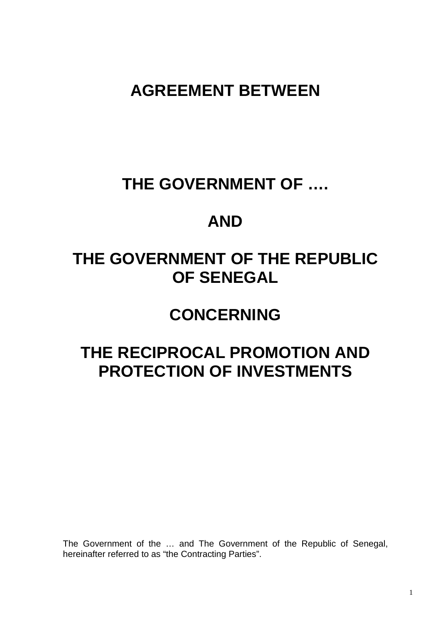### **AGREEMENT BETWEEN**

### **THE GOVERNMENT OF ….**

### **AND**

## **THE GOVERNMENT OF THE REPUBLIC OF SENEGAL**

### **CONCERNING**

# **THE RECIPROCAL PROMOTION AND PROTECTION OF INVESTMENTS**

The Government of the … and The Government of the Republic of Senegal, hereinafter referred to as "the Contracting Parties".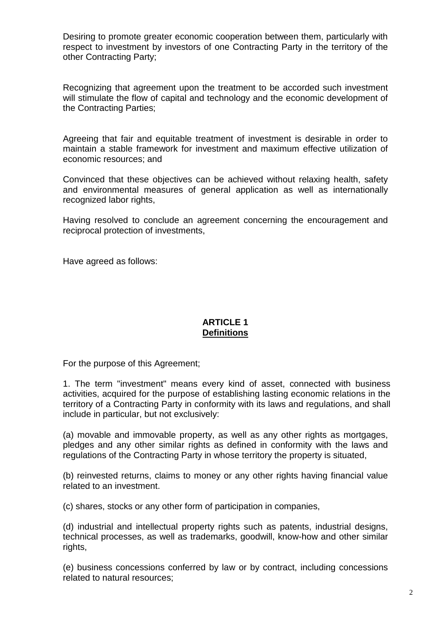Desiring to promote greater economic cooperation between them, particularly with respect to investment by investors of one Contracting Party in the territory of the other Contracting Party;

Recognizing that agreement upon the treatment to be accorded such investment will stimulate the flow of capital and technology and the economic development of the Contracting Parties;

Agreeing that fair and equitable treatment of investment is desirable in order to maintain a stable framework for investment and maximum effective utilization of economic resources; and

Convinced that these objectives can be achieved without relaxing health, safety and environmental measures of general application as well as internationally recognized labor rights,

Having resolved to conclude an agreement concerning the encouragement and reciprocal protection of investments,

Have agreed as follows:

#### **ARTICLE 1 Definitions**

For the purpose of this Agreement;

1. The term "investment" means every kind of asset, connected with business activities, acquired for the purpose of establishing lasting economic relations in the territory of a Contracting Party in conformity with its laws and regulations, and shall include in particular, but not exclusively:

(a) movable and immovable property, as well as any other rights as mortgages, pledges and any other similar rights as defined in conformity with the laws and regulations of the Contracting Party in whose territory the property is situated,

(b) reinvested returns, claims to money or any other rights having financial value related to an investment.

(c) shares, stocks or any other form of participation in companies,

(d) industrial and intellectual property rights such as patents, industrial designs, technical processes, as well as trademarks, goodwill, know-how and other similar rights,

(e) business concessions conferred by law or by contract, including concessions related to natural resources;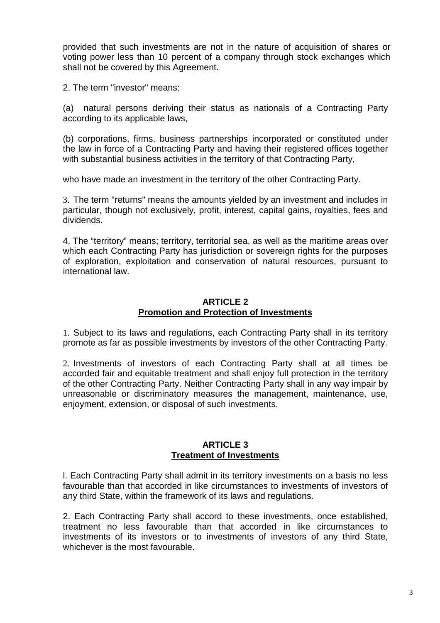provided that such investments are not in the nature of acquisition of shares or voting power less than 10 percent of a company through stock exchanges which shall not be covered by this Agreement.

2. The term "investor" means:

(a) natural persons deriving their status as nationals of a Contracting Party according to its applicable laws,

(b) corporations, firms, business partnerships incorporated or constituted under the law in force of a Contracting Party and having their registered offices together with substantial business activities in the territory of that Contracting Party,

who have made an investment in the territory of the other Contracting Party.

3. The term "returns" means the amounts yielded by an investment and includes in particular, though not exclusively, profit, interest, capital gains, royalties, fees and dividends.

4. The "territory" means; territory, territorial sea, as well as the maritime areas over which each Contracting Party has jurisdiction or sovereign rights for the purposes of exploration, exploitation and conservation of natural resources, pursuant to international law.

#### **ARTICLE 2 Promotion and Protection of Investments**

1. Subject to its laws and regulations, each Contracting Party shall in its territory promote as far as possible investments by investors of the other Contracting Party.

2. Investments of investors of each Contracting Party shall at all times be accorded fair and equitable treatment and shall enjoy full protection in the territory of the other Contracting Party. Neither Contracting Party shall in any way impair by unreasonable or discriminatory measures the management, maintenance, use, enjoyment, extension, or disposal of such investments.

#### **ARTICLE 3 Treatment of Investments**

l. Each Contracting Party shall admit in its territory investments on a basis no less favourable than that accorded in like circumstances to investments of investors of any third State, within the framework of its laws and regulations.

2. Each Contracting Party shall accord to these investments, once established, treatment no less favourable than that accorded in like circumstances to investments of its investors or to investments of investors of any third State, whichever is the most favourable.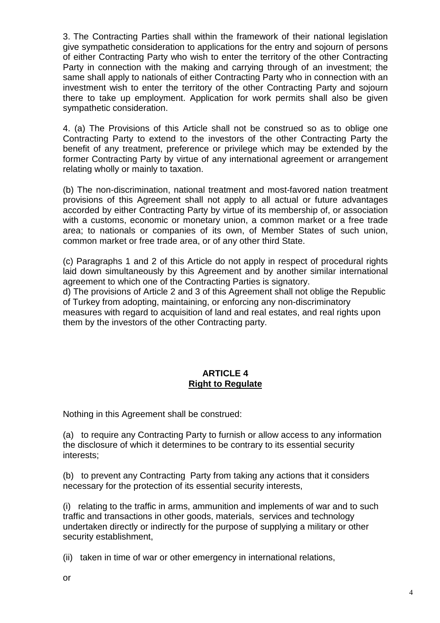3. The Contracting Parties shall within the framework of their national legislation give sympathetic consideration to applications for the entry and sojourn of persons of either Contracting Party who wish to enter the territory of the other Contracting Party in connection with the making and carrying through of an investment; the same shall apply to nationals of either Contracting Party who in connection with an investment wish to enter the territory of the other Contracting Party and sojourn there to take up employment. Application for work permits shall also be given sympathetic consideration.

4. (a) The Provisions of this Article shall not be construed so as to oblige one Contracting Party to extend to the investors of the other Contracting Party the benefit of any treatment, preference or privilege which may be extended by the former Contracting Party by virtue of any international agreement or arrangement relating wholly or mainly to taxation.

(b) The non-discrimination, national treatment and most-favored nation treatment provisions of this Agreement shall not apply to all actual or future advantages accorded by either Contracting Party by virtue of its membership of, or association with a customs, economic or monetary union, a common market or a free trade area; to nationals or companies of its own, of Member States of such union, common market or free trade area, or of any other third State.

(c) Paragraphs 1 and 2 of this Article do not apply in respect of procedural rights laid down simultaneously by this Agreement and by another similar international agreement to which one of the Contracting Parties is signatory.

d) The provisions of Article 2 and 3 of this Agreement shall not oblige the Republic of Turkey from adopting, maintaining, or enforcing any non-discriminatory measures with regard to acquisition of land and real estates, and real rights upon them by the investors of the other Contracting party.

#### **ARTICLE 4 Right to Regulate**

Nothing in this Agreement shall be construed:

(a) to require any Contracting Party to furnish or allow access to any information the disclosure of which it determines to be contrary to its essential security interests;

(b) to prevent any Contracting Party from taking any actions that it considers necessary for the protection of its essential security interests,

(i) relating to the traffic in arms, ammunition and implements of war and to such traffic and transactions in other goods, materials, services and technology undertaken directly or indirectly for the purpose of supplying a military or other security establishment,

(ii) taken in time of war or other emergency in international relations,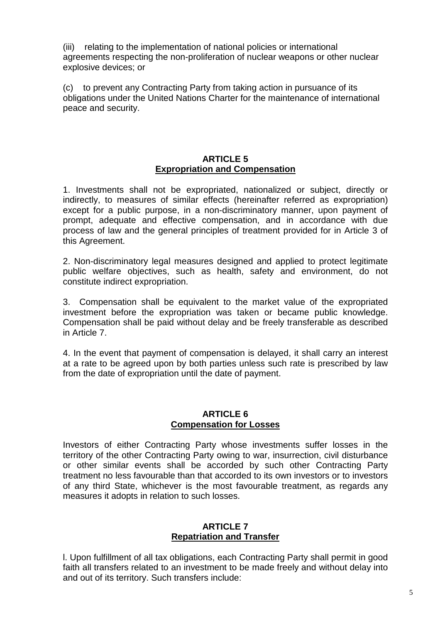(iii) relating to the implementation of national policies or international agreements respecting the non-proliferation of nuclear weapons or other nuclear explosive devices; or

(c) to prevent any Contracting Party from taking action in pursuance of its obligations under the United Nations Charter for the maintenance of international peace and security.

#### **ARTICLE 5 Expropriation and Compensation**

1. Investments shall not be expropriated, nationalized or subject, directly or indirectly, to measures of similar effects (hereinafter referred as expropriation) except for a public purpose, in a non-discriminatory manner, upon payment of prompt, adequate and effective compensation, and in accordance with due process of law and the general principles of treatment provided for in Article 3 of this Agreement.

2. Non-discriminatory legal measures designed and applied to protect legitimate public welfare objectives, such as health, safety and environment, do not constitute indirect expropriation.

3. Compensation shall be equivalent to the market value of the expropriated investment before the expropriation was taken or became public knowledge. Compensation shall be paid without delay and be freely transferable as described in Article 7.

4. In the event that payment of compensation is delayed, it shall carry an interest at a rate to be agreed upon by both parties unless such rate is prescribed by law from the date of expropriation until the date of payment.

#### **ARTICLE 6 Compensation for Losses**

Investors of either Contracting Party whose investments suffer losses in the territory of the other Contracting Party owing to war, insurrection, civil disturbance or other similar events shall be accorded by such other Contracting Party treatment no less favourable than that accorded to its own investors or to investors of any third State, whichever is the most favourable treatment, as regards any measures it adopts in relation to such losses.

#### **ARTICLE 7 Repatriation and Transfer**

l. Upon fulfillment of all tax obligations, each Contracting Party shall permit in good faith all transfers related to an investment to be made freely and without delay into and out of its territory. Such transfers include: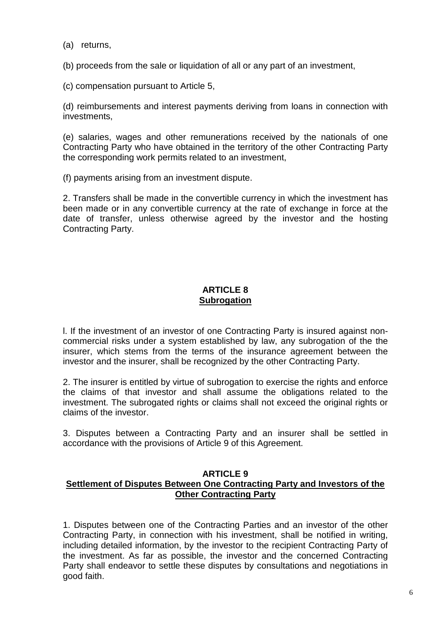(a) returns,

(b) proceeds from the sale or liquidation of all or any part of an investment,

(c) compensation pursuant to Article 5,

(d) reimbursements and interest payments deriving from loans in connection with investments,

(e) salaries, wages and other remunerations received by the nationals of one Contracting Party who have obtained in the territory of the other Contracting Party the corresponding work permits related to an investment,

(f) payments arising from an investment dispute.

2. Transfers shall be made in the convertible currency in which the investment has been made or in any convertible currency at the rate of exchange in force at the date of transfer, unless otherwise agreed by the investor and the hosting Contracting Party.

#### **ARTICLE 8 Subrogation**

l. If the investment of an investor of one Contracting Party is insured against noncommercial risks under a system established by law, any subrogation of the the insurer, which stems from the terms of the insurance agreement between the investor and the insurer, shall be recognized by the other Contracting Party.

2. The insurer is entitled by virtue of subrogation to exercise the rights and enforce the claims of that investor and shall assume the obligations related to the investment. The subrogated rights or claims shall not exceed the original rights or claims of the investor.

3. Disputes between a Contracting Party and an insurer shall be settled in accordance with the provisions of Article 9 of this Agreement.

#### **ARTICLE 9 Settlement of Disputes Between One Contracting Party and Investors of the Other Contracting Party**

1. Disputes between one of the Contracting Parties and an investor of the other Contracting Party, in connection with his investment, shall be notified in writing, including detailed information, by the investor to the recipient Contracting Party of the investment. As far as possible, the investor and the concerned Contracting Party shall endeavor to settle these disputes by consultations and negotiations in good faith.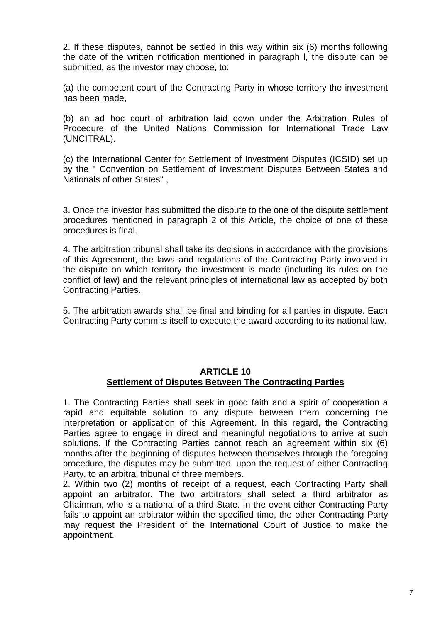2. If these disputes, cannot be settled in this way within six (6) months following the date of the written notification mentioned in paragraph l, the dispute can be submitted, as the investor may choose, to:

(a) the competent court of the Contracting Party in whose territory the investment has been made,

(b) an ad hoc court of arbitration laid down under the Arbitration Rules of Procedure of the United Nations Commission for International Trade Law (UNCITRAL).

(c) the International Center for Settlement of Investment Disputes (ICSID) set up by the " Convention on Settlement of Investment Disputes Between States and Nationals of other States" ,

3. Once the investor has submitted the dispute to the one of the dispute settlement procedures mentioned in paragraph 2 of this Article, the choice of one of these procedures is final.

4. The arbitration tribunal shall take its decisions in accordance with the provisions of this Agreement, the laws and regulations of the Contracting Party involved in the dispute on which territory the investment is made (including its rules on the conflict of law) and the relevant principles of international law as accepted by both Contracting Parties.

5. The arbitration awards shall be final and binding for all parties in dispute. Each Contracting Party commits itself to execute the award according to its national law.

#### **ARTICLE 10 Settlement of Disputes Between The Contracting Parties**

1. The Contracting Parties shall seek in good faith and a spirit of cooperation a rapid and equitable solution to any dispute between them concerning the interpretation or application of this Agreement. In this regard, the Contracting Parties agree to engage in direct and meaningful negotiations to arrive at such solutions. If the Contracting Parties cannot reach an agreement within six (6) months after the beginning of disputes between themselves through the foregoing procedure, the disputes may be submitted, upon the request of either Contracting Party, to an arbitral tribunal of three members.

2. Within two (2) months of receipt of a request, each Contracting Party shall appoint an arbitrator. The two arbitrators shall select a third arbitrator as Chairman, who is a national of a third State. In the event either Contracting Party fails to appoint an arbitrator within the specified time, the other Contracting Party may request the President of the International Court of Justice to make the appointment.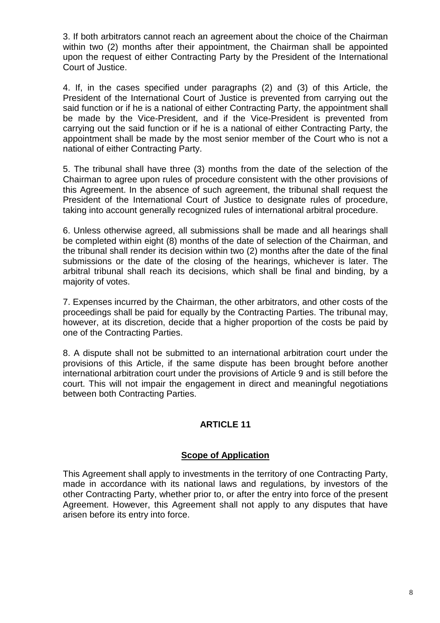3. If both arbitrators cannot reach an agreement about the choice of the Chairman within two (2) months after their appointment, the Chairman shall be appointed upon the request of either Contracting Party by the President of the International Court of Justice.

4. If, in the cases specified under paragraphs (2) and (3) of this Article, the President of the International Court of Justice is prevented from carrying out the said function or if he is a national of either Contracting Party, the appointment shall be made by the Vice-President, and if the Vice-President is prevented from carrying out the said function or if he is a national of either Contracting Party, the appointment shall be made by the most senior member of the Court who is not a national of either Contracting Party.

5. The tribunal shall have three (3) months from the date of the selection of the Chairman to agree upon rules of procedure consistent with the other provisions of this Agreement. In the absence of such agreement, the tribunal shall request the President of the International Court of Justice to designate rules of procedure, taking into account generally recognized rules of international arbitral procedure.

6. Unless otherwise agreed, all submissions shall be made and all hearings shall be completed within eight (8) months of the date of selection of the Chairman, and the tribunal shall render its decision within two (2) months after the date of the final submissions or the date of the closing of the hearings, whichever is later. The arbitral tribunal shall reach its decisions, which shall be final and binding, by a majority of votes.

7. Expenses incurred by the Chairman, the other arbitrators, and other costs of the proceedings shall be paid for equally by the Contracting Parties. The tribunal may, however, at its discretion, decide that a higher proportion of the costs be paid by one of the Contracting Parties.

8. A dispute shall not be submitted to an international arbitration court under the provisions of this Article, if the same dispute has been brought before another international arbitration court under the provisions of Article 9 and is still before the court. This will not impair the engagement in direct and meaningful negotiations between both Contracting Parties.

#### **ARTICLE 11**

#### **Scope of Application**

This Agreement shall apply to investments in the territory of one Contracting Party, made in accordance with its national laws and regulations, by investors of the other Contracting Party, whether prior to, or after the entry into force of the present Agreement. However, this Agreement shall not apply to any disputes that have arisen before its entry into force.